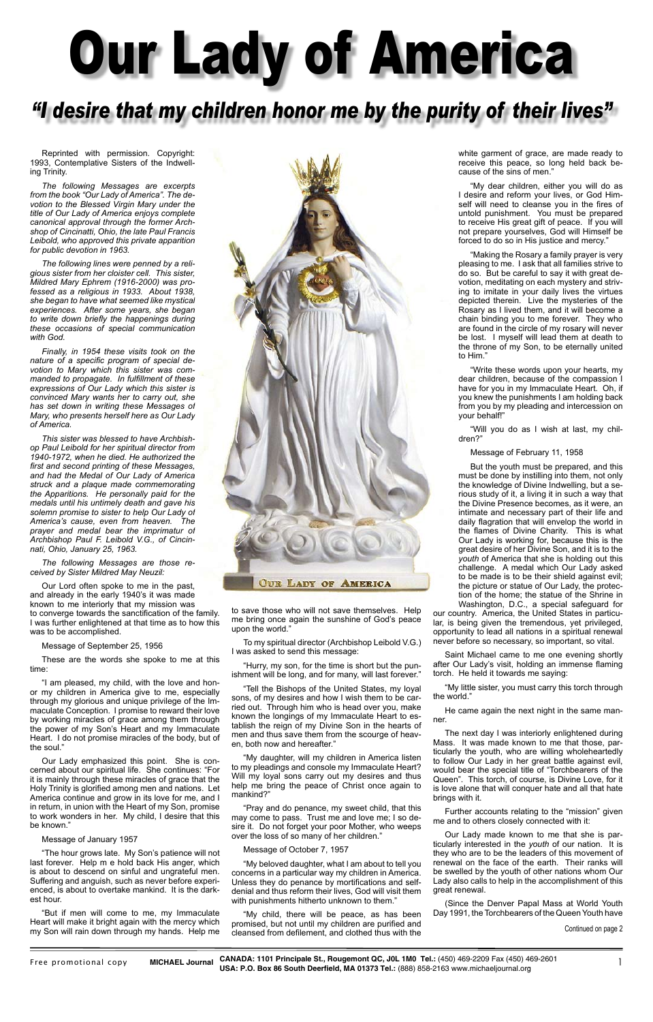Free promotional copy **MICHAEL Journal CANADA: 1101 Principale St., Rougemont QC, J0L 1M0 Tel.:** (450) 469-2209 Fax (450) 469-2601 **USA: P.O. Box 86 South Deerfield, MA 01373 Tel.:** (888) 858-2163 www.michaeljournal.org <sup>1</sup>

Reprinted with permission. Copyright: 1993, Contemplative Sisters of the Indwelling Trinity.

*The following Messages are excerpts from the book "Our Lady of America". The devotion to the Blessed Virgin Mary under the title of Our Lady of America enjoys complete canonical approval through the former Archshop of Cincinatti, Ohio, the late Paul Francis Leibold, who approved this private apparition for public devotion in 1963.*

*The following lines were penned by a religious sister from her cloister cell. This sister, Mildred Mary Ephrem (1916-2000) was professed as a religious in 1933. About 1938, she began to have what seemed like mystical experiences. After some years, she began to write down briefly the happenings during these occasions of special communication with God.*

*Finally, in 1954 these visits took on the nature of a specific program of special devotion to Mary which this sister was commanded to propagate. In fulfillment of these expressions of Our Lady which this sister is convinced Mary wants her to carry out, she has set down in writing these Messages of Mary, who presents herself here as Our Lady of America.*

*This sister was blessed to have Archbishop Paul Leibold for her spiritual director from 1940-1972, when he died. He authorized the first and second printing of these Messages, and had the Medal of Our Lady of America struck and a plaque made commemorating the Apparitions. He personally paid for the medals until his untimely death and gave his solemn promise to sister to help Our Lady of America's cause, even from heaven. The prayer and medal bear the imprimatur of Archbishop Paul F. Leibold V.G., of Cincinnati, Ohio, January 25, 1963.*

*The following Messages are those received by Sister Mildred May Neuzil:*

Our Lord often spoke to me in the past, and already in the early 1940's it was made known to me interiorly that my mission was to converge towards the sanctification of the family. I was further enlightened at that time as to how this was to be accomplished.

Message of September 25, 1956

These are the words she spoke to me at this time:

"I am pleased, my child, with the love and honor my children in America give to me, especially through my glorious and unique privilege of the Immaculate Conception. I promise to reward their love by working miracles of grace among them through the power of my Son's Heart and my Immaculate Heart. I do not promise miracles of the body, but of the soul."



Our Lady emphasized this point. She is concerned about our spiritual life. She continues: "For it is mainly through these miracles of grace that the Holy Trinity is glorified among men and nations. Let America continue and grow in its love for me, and I in return, in union with the Heart of my Son, promise to work wonders in her. My child, I desire that this be known."

#### Message of January 1957

"The hour grows late. My Son's patience will not last forever. Help m e hold back His anger, which is about to descend on sinful and ungrateful men. Suffering and anguish, such as never before experienced, is about to overtake mankind. It is the darkest hour.

"But if men will come to me, my Immaculate Heart will make it bright again with the mercy which my Son will rain down through my hands. Help me

white garment of grace, are made ready to receive this peace, so long held back because of the sins of men."

"My dear children, either you will do as I desire and reform your lives, or God Himself will need to cleanse you in the fires of untold punishment. You must be prepared to receive His great gift of peace. If you will not prepare yourselves, God will Himself be forced to do so in His justice and mercy."

"My beloved daughter, what I am about to tell you concerns in a particular way my children in America. Unless they do penance by mortifications and selfdenial and thus reform their lives, God will visit them with punishments hitherto unknown to them."

"My child, there will be peace, as has been promised, but not until my children are purified and cleansed from defilement, and clothed thus with the Continued on page 2

"Making the Rosary a family prayer is very pleasing to me. I ask that all families strive to do so. But be careful to say it with great devotion, meditating on each mystery and striving to imitate in your daily lives the virtues depicted therein. Live the mysteries of the Rosary as I lived them, and it will become a chain binding you to me forever. They who are found in the circle of my rosary will never be lost. I myself will lead them at death to the throne of my Son, to be eternally united to Him."

"Write these words upon your hearts, my dear children, because of the compassion I have for you in my Immaculate Heart. Oh, if you knew the punishments I am holding back from you by my pleading and intercession on your behalf!"

"Will you do as I wish at last, my children?"

Message of February 11, 1958

But the youth must be prepared, and this must be done by instilling into them, not only the knowledge of Divine Indwelling, but a serious study of it, a living it in such a way that the Divine Presence becomes, as it were, an intimate and necessary part of their life and daily flagration that will envelop the world in the flames of Divine Charity. This is what Our Lady is working for, because this is the great desire of her Divine Son, and it is to the *youth* of America that she is holding out this challenge. A medal which Our Lady asked to be made is to be their shield against evil; the picture or statue of Our Lady, the protection of the home; the statue of the Shrine in Washington, D.C., a special safeguard for

our country. America, the United States in particular, is being given the tremendous, yet privileged, opportunity to lead all nations in a spiritual renewal never before so necessary, so important, so vital.

Saint Michael came to me one evening shortly after Our Lady's visit, holding an immense flaming torch. He held it towards me saying:

"My little sister, you must carry this torch through the world."

He came again the next night in the same manner.

The next day I was interiorly enlightened during Mass. It was made known to me that those, particularly the youth, who are willing wholeheartedly to follow Our Lady in her great battle against evil, would bear the special title of "Torchbearers of the Queen". This torch, of course, is Divine Love, for it is love alone that will conquer hate and all that hate brings with it.

Further accounts relating to the "mission" given me and to others closely connected with it:

Our Lady made known to me that she is particularly interested in the *youth* of our nation. It is they who are to be the leaders of this movement of renewal on the face of the earth. Their ranks will be swelled by the youth of other nations whom Our Lady also calls to help in the accomplishment of this great renewal.

(Since the Denver Papal Mass at World Youth Day 1991, the Torchbearers of the Queen Youth have

to save those who will not save themselves. Help me bring once again the sunshine of God's peace upon the world."

To my spiritual director (Archbishop Leibold V.G.) I was asked to send this message:

"Hurry, my son, for the time is short but the punishment will be long, and for many, will last forever."

"Tell the Bishops of the United States, my loyal sons, of my desires and how I wish them to be carried out. Through him who is head over you, make known the longings of my Immaculate Heart to establish the reign of my Divine Son in the hearts of men and thus save them from the scourge of heaven, both now and hereafter."

"My daughter, will my children in America listen to my pleadings and console my Immaculate Heart? Will my loyal sons carry out my desires and thus help me bring the peace of Christ once again to mankind?"

"Pray and do penance, my sweet child, that this may come to pass. Trust me and love me; I so desire it. Do not forget your poor Mother, who weeps over the loss of so many of her children."

### Message of October 7, 1957

Our Lady of America

# *"I desire that my children honor me by the purity of their lives"*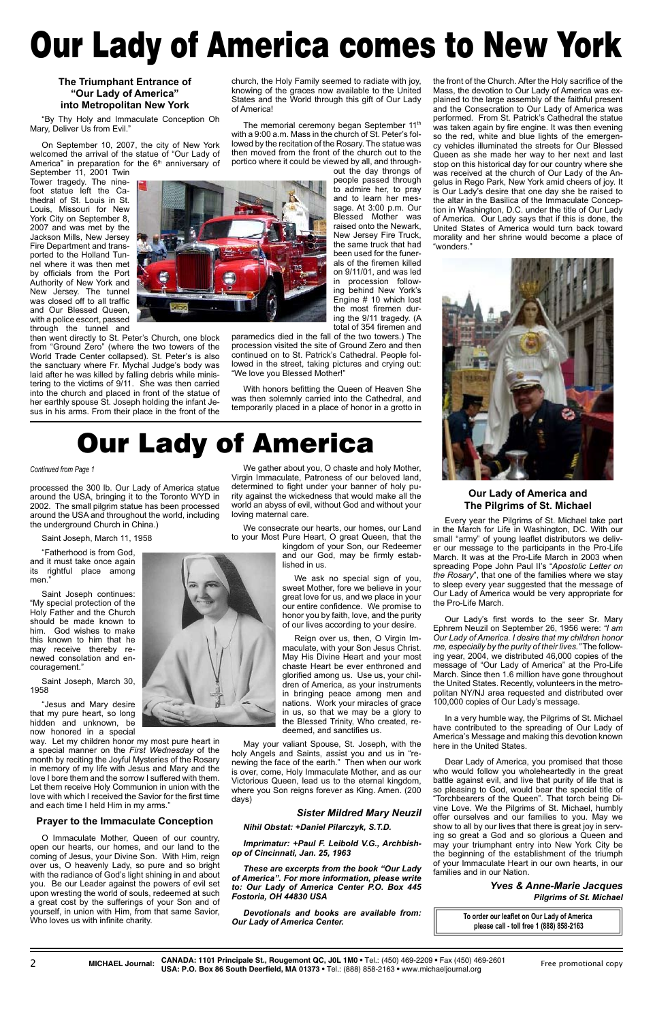**MICHAEL Journal:** CANADA: 1101 Principale St., Rougemont QC, JOL 1M0 • Tel.: (450) 469-2209 • Fax (450) 469-2601 Free promotional copy **USA: P.O. Box 86 South Deerfield, MA 01373 •** Tel.: (888) 858-2163 **•** www.michaeljournal.org

"Fatherhood is from God, and it must take once again its rightful place among men.'

processed the 300 lb. Our Lady of America statue around the USA, bringing it to the Toronto WYD in 2002. The small pilgrim statue has been processed around the USA and throughout the world, including the underground Church in China.)

Saint Joseph, March 11, 1958

Saint Joseph continues: "My special protection of the Holy Father and the Church should be made known to him. God wishes to make this known to him that he may receive thereby renewed consolation and encouragement."

Saint Joseph, March 30, 1958

"Jesus and Mary desire that my pure heart, so long hidden and unknown, be now honored in a special

On September 10, 2007, the city of New York welcomed the arrival of the statue of "Our Lady of America" in preparation for the  $6<sup>th</sup>$  anniversary of

way. Let my children honor my most pure heart in a special manner on the *First Wednesday* of the month by reciting the Joyful Mysteries of the Rosary in memory of my life with Jesus and Mary and the love I bore them and the sorrow I suffered with them. Let them receive Holy Communion in union with the love with which I received the Savior for the first time and each time I held Him in my arms."

# **Prayer to the Immaculate Conception**

O Immaculate Mother, Queen of our country, open our hearts, our homes, and our land to the coming of Jesus, your Divine Son. With Him, reign over us, O heavenly Lady, so pure and so bright with the radiance of God's light shining in and about you. Be our Leader against the powers of evil set upon wresting the world of souls, redeemed at such a great cost by the sufferings of your Son and of yourself, in union with Him, from that same Savior, Who loves us with infinite charity.

The memorial ceremony began September 11<sup>th</sup> with a 9:00 a.m. Mass in the church of St. Peter's followed by the recitation of the Rosary. The statue was then moved from the front of the church out to the portico where it could be viewed by all, and through-

# **The Triumphant Entrance of "Our Lady of America" into Metropolitan New York**

"By Thy Holy and Immaculate Conception Oh Mary, Deliver Us from Evil."

September 11, 2001 Twin Tower tragedy. The ninefoot statue left the Cathedral of St. Louis in St. Louis, Missouri for New York City on September 8, 2007 and was met by the Jackson Mills, New Jersey Fire Department and transported to the Holland Tunnel where it was then met by officials from the Port Authority of New York and New Jersey. The tunnel was closed off to all traffic and Our Blessed Queen, with a police escort, passed through the tunnel and

then went directly to St. Peter's Church, one block from "Ground Zero" (where the two towers of the World Trade Center collapsed). St. Peter's is also the sanctuary where Fr. Mychal Judge's body was laid after he was killed by falling debris while ministering to the victims of 9/11. She was then carried into the church and placed in front of the statue of her earthly spouse St. Joseph holding the infant Jesus in his arms. From their place in the front of the

church, the Holy Family seemed to radiate with joy, knowing of the graces now available to the United States and the World through this gift of Our Lady of America!

> out the day throngs of people passed through to admire her, to pray and to learn her message. At 3:00 p.m. Our Blessed Mother was raised onto the Newark, New Jersey Fire Truck, the same truck that had been used for the funerals of the firemen killed on 9/11/01, and was led in procession following behind New York's Engine # 10 which lost the most firemen during the 9/11 tragedy. (A total of 354 firemen and

paramedics died in the fall of the two towers.) The procession visited the site of Ground Zero and then continued on to St. Patrick's Cathedral. People followed in the street, taking pictures and crying out: "We love you Blessed Mother!"

With honors befitting the Queen of Heaven She was then solemnly carried into the Cathedral, and temporarily placed in a place of honor in a grotto in the front of the Church. After the Holy sacrifice of the Mass, the devotion to Our Lady of America was explained to the large assembly of the faithful present and the Consecration to Our Lady of America was performed. From St. Patrick's Cathedral the statue was taken again by fire engine. It was then evening so the red, white and blue lights of the emergency vehicles illuminated the streets for Our Blessed Queen as she made her way to her next and last stop on this historical day for our country where she was received at the church of Our Lady of the Angelus in Rego Park, New York amid cheers of joy. It is Our Lady's desire that one day she be raised to the altar in the Basilica of the Immaculate Conception in Washington, D.C. under the title of Our Lady of America. Our Lady says that if this is done, the United States of America would turn back toward morality and her shrine would become a place of "wonders."



# **Our Lady of America and The Pilgrims of St. Michael**

Every year the Pilgrims of St. Michael take part in the March for Life in Washington, DC. With our small "army" of young leaflet distributors we deliver our message to the participants in the Pro-Life March. It was at the Pro-Life March in 2003 when spreading Pope John Paul II's "*Apostolic Letter on the Rosary*", that one of the families where we stay to sleep every year suggested that the message of Our Lady of America would be very appropriate for the Pro-Life March.

Our Lady's first words to the seer Sr. Mary Ephrem Neuzil on September 26, 1956 were: *"I am Our Lady of America. I desire that my children honor me, especially by the purity of their lives."* The following year, 2004, we distributed 46,000 copies of the message of "Our Lady of America" at the Pro-Life March. Since then 1.6 million have gone throughout the United States. Recently, volunteers in the metropolitan NY/NJ area requested and distributed over 100,000 copies of Our Lady's message.

In a very humble way, the Pilgrims of St. Michael have contributed to the spreading of Our Lady of America's Message and making this devotion known here in the United States.



Dear Lady of America, you promised that those who would follow you wholeheartedly in the great battle against evil, and live that purity of life that is so pleasing to God, would bear the special title of "Torchbearers of the Queen". That torch being Divine Love. We the Pilgrims of St. Michael, humbly offer ourselves and our families to you. May we show to all by our lives that there is great joy in serving so great a God and so glorious a Queen and may your triumphant entry into New York City be the beginning of the establishment of the triumph of your Immaculate Heart in our own hearts, in our families and in our Nation.

# *Yves & Anne-Marie Jacques*

*Pilgrims of St. Michael*

We gather about you, O chaste and holy Mother, Virgin Immaculate, Patroness of our beloved land, determined to fight under your banner of holy purity against the wickedness that would make all the world an abyss of evil, without God and without your loving maternal care.

We consecrate our hearts, our homes, our Land to your Most Pure Heart, O great Queen, that the

kingdom of your Son, our Redeemer and our God, may be firmly established in us.

> We ask no special sign of you, sweet Mother, fore we believe in your great love for us, and we place in your our entire confidence. We promise to honor you by faith, love, and the purity of our lives according to your desire.

Reign over us, then, O Virgin Immaculate, with your Son Jesus Christ. May His Divine Heart and your most chaste Heart be ever enthroned and glorified among us. Use us, your children of America, as your instruments in bringing peace among men and nations. Work your miracles of grace in us, so that we may be a glory to the Blessed Trinity, Who created, redeemed, and sanctifies us.

May your valiant Spouse, St. Joseph, with the

holy Angels and Saints, assist you and us in "renewing the face of the earth." Then when our work is over, come, Holy Immaculate Mother, and as our Victorious Queen, lead us to the eternal kingdom, where you Son reigns forever as King. Amen. (200 days)

# *Sister Mildred Mary Neuzil*

*Nihil Obstat: +Daniel Pilarczyk, S.T.D.*

*Imprimatur: +Paul F. Leibold V.G., Archbishop of Cincinnati, Jan. 25, 1963*

*These are excerpts from the book "Our Lady of America". For more information, please write to: Our Lady of America Center P.O. Box 445 Fostoria, OH 44830 USA*

*Devotionals and books are available from: Our Lady of America Center.*

# Our Lady of America

#### *Continued from Page 1*

**To order our leaflet on Our Lady of America please call - toll free 1 (888) 858-2163**

# Our Lady of America comes to New York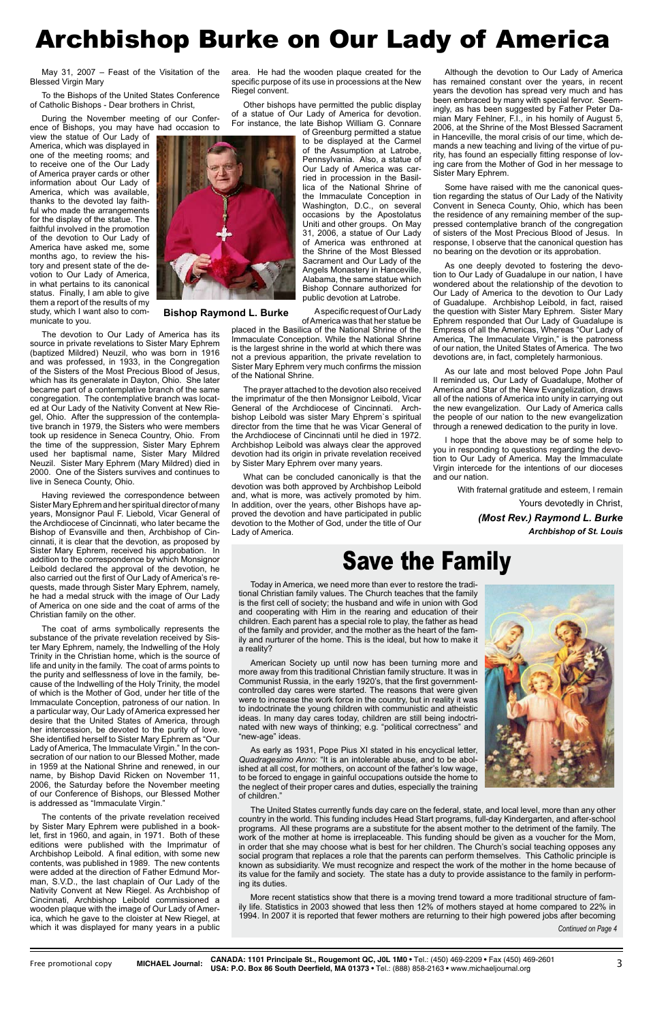**CANADA: 1101 Principale St., Rougemont QC, J0L 1M0 •** Tel.: (450) 469-2209 **•** Fax (450) 469-2601 **Free promotional copy MICHAEL Journal:** CANADA: TIOT PHICIPALE 31., ROUGENDIN GC, JOL TIMO • TEL.: (430) 469-2209 • Pax (430) 469-2163 • MICHAEL Journal.org USA: P.O. Box 86 South Deerfield, MA 01373 • Tel.: (888) 858-2

May 31, 2007 – Feast of the Visitation of the Blessed Virgin Mary

To the Bishops of the United States Conference of Catholic Bishops - Dear brothers in Christ,

During the November meeting of our Conference of Bishops, you may have had occasion to

view the statue of Our Lady of America, which was displayed in one of the meeting rooms; and to receive one of the Our Lady of America prayer cards or other information about Our Lady of America, which was available, thanks to the devoted lay faithful who made the arrangements for the display of the statue. The faithful involved in the promotion of the devotion to Our Lady of America have asked me, some months ago, to review the history and present state of the devotion to Our Lady of America, in what pertains to its canonical status. Finally, I am able to give them a report of the results of my study, which I want also to communicate to you.

The devotion to Our Lady of America has its source in private revelations to Sister Mary Ephrem (baptized Mildred) Neuzil, who was born in 1916 and was professed, in 1933, in the Congregation of the Sisters of the Most Precious Blood of Jesus, which has its generalate in Dayton, Ohio. She later became part of a contemplative branch of the same congregation. The contemplative branch was located at Our Lady of the Nativity Convent at New Riegel, Ohio. After the suppression of the contemplative branch in 1979, the Sisters who were members took up residence in Seneca Country, Ohio. From the time of the suppression, Sister Mary Ephrem used her baptismal name, Sister Mary Mildred Neuzil. Sister Mary Ephrem (Mary Mildred) died in 2000. One of the Sisters survives and continues to live in Seneca County, Ohio.

Having reviewed the correspondence between Sister Mary Ephrem and her spiritual director of many years, Monsignor Paul F. Liebold, Vicar General of the Archdiocese of Cincinnati, who later became the Bishop of Evansville and then, Archbishop of Cincinnati, it is clear that the devotion, as proposed by Sister Mary Ephrem, received his approbation. In addition to the correspondence by which Monsignor Leibold declared the approval of the devotion, he also carried out the first of Our Lady of America's requests, made through Sister Mary Ephrem, namely, he had a medal struck with the image of Our Lady of America on one side and the coat of arms of the Christian family on the other.

The coat of arms symbolically represents the substance of the private revelation received by Sister Mary Ephrem, namely, the Indwelling of the Holy Trinity in the Christian home, which is the source of life and unity in the family. The coat of arms points to the purity and selflessness of love in the family, because of the Indwelling of the Holy Trinity, the model of which is the Mother of God, under her title of the Immaculate Conception, patroness of our nation. In a particular way, Our Lady of America expressed her desire that the United States of America, through her intercession, be devoted to the purity of love. She identified herself to Sister Mary Ephrem as "Our Lady of America, The Immaculate Virgin." In the consecration of our nation to our Blessed Mother, made in 1959 at the National Shrine and renewed, in our name, by Bishop David Ricken on November 11, 2006, the Saturday before the November meeting of our Conference of Bishops, our Blessed Mother is addressed as "Immaculate Virgin."

The contents of the private revelation received by Sister Mary Ephrem were published in a booklet, first in 1960, and again, in 1971. Both of these editions were published with the Imprimatur of Archbishop Leibold. A final edition, with some new contents, was published in 1989. The new contents were added at the direction of Father Edmund Morman, S.V.D., the last chaplain of Our Lady of the Nativity Convent at New Riegel. As Archbishop of Cincinnati, Archbishop Leibold commissioned a wooden plaque with the image of Our Lady of America, which he gave to the cloister at New Riegel, at which it was displayed for many years in a public area. He had the wooden plaque created for the specific purpose of its use in processions at the New Riegel convent.

Other bishops have permitted the public display of a statue of Our Lady of America for devotion. For instance, the late Bishop William G. Connare

of Greenburg permitted a statue to be displayed at the Carmel of the Assumption at Latrobe, Pennsylvania. Also, a statue of Our Lady of America was carried in procession in the Basillica of the National Shrine of the Immaculate Conception in Washington, D.C., on several occasions by the Apostolatus Uniti and other groups. On May 31, 2006, a statue of Our Lady of America was enthroned at the Shrine of the Most Blessed Sacrament and Our Lady of the Angels Monastery in Hanceville, Alabama, the same statue which Bishop Connare authorized for public devotion at Latrobe.

A specific request of Our Lady of America was that her statue be

placed in the Basilica of the National Shrine of the Immaculate Conception. While the National Shrine is the largest shrine in the world at which there was not a previous apparition, the private revelation to Sister Mary Ephrem very much confirms the mission of the National Shrine.

The prayer attached to the devotion also received the imprimatur of the then Monsignor Leibold, Vicar General of the Archdiocese of Cincinnati. Archbishop Leibold was sister Mary Ehprem`s spiritual director from the time that he was Vicar General of the Archdiocese of Cincinnati until he died in 1972. Archbishop Leibold was always clear the approved devotion had its origin in private revelation received by Sister Mary Ephrem over many years.

What can be concluded canonically is that the devotion was both approved by Archbishop Leibold and, what is more, was actively promoted by him. In addition, over the years, other Bishops have approved the devotion and have participated in public devotion to the Mother of God, under the title of Our Lady of America.

Although the devotion to Our Lady of America has remained constant over the years, in recent years the devotion has spread very much and has been embraced by many with special fervor. Seemingly, as has been suggested by Father Peter Damian Mary Fehlner, F.I., in his homily of August 5, 2006, at the Shrine of the Most Blessed Sacrament in Hanceville, the moral crisis of our time, which demands a new teaching and living of the virtue of purity, has found an especially fitting response of loving care from the Mother of God in her message to Sister Mary Ephrem.

Some have raised with me the canonical question regarding the status of Our Lady of the Nativity Convent in Seneca County, Ohio, which has been the residence of any remaining member of the suppressed contemplative branch of the congregation of sisters of the Most Precious Blood of Jesus. In response, I observe that the canonical question has no bearing on the devotion or its approbation.

As one deeply devoted to fostering the devotion to Our Lady of Guadalupe in our nation, I have wondered about the relationship of the devotion to Our Lady of America to the devotion to Our Lady of Guadalupe. Archbishop Leibold, in fact, raised the question with Sister Mary Ephrem. Sister Mary Ephrem responded that Our Lady of Guadalupe is Empress of all the Americas, Whereas "Our Lady of America, The Immaculate Virgin," is the patroness of our nation, the United States of America. The two devotions are, in fact, completely harmonious.

As our late and most beloved Pope John Paul II reminded us, Our Lady of Guadalupe, Mother of America and Star of the New Evangelization, draws all of the nations of America into unity in carrying out the new evangelization. Our Lady of America calls the people of our nation to the new evangelization through a renewed dedication to the purity in love.

I hope that the above may be of some help to you in responding to questions regarding the devotion to Our Lady of America. May the Immaculate Virgin intercede for the intentions of our dioceses and our nation.

> With fraternal gratitude and esteem, I remain Yours devotedly in Christ,

> > *(Most Rev.) Raymond L. Burke Archbishop of St. Louis*

# Archbishop Burke on Our Lady of America

**Bishop Raymond L. Burke**

Today in America, we need more than ever to restore the traditional Christian family values. The Church teaches that the family is the first cell of society; the husband and wife in union with God and cooperating with Him in the rearing and education of their children. Each parent has a special role to play, the father as head of the family and provider, and the mother as the heart of the family and nurturer of the home. This is the ideal, but how to make it a reality?

American Society up until now has been turning more and more away from this traditional Christian family structure. It was in Communist Russia, in the early 1920's, that the first governmentcontrolled day cares were started. The reasons that were given were to increase the work force in the country, but in reality it was to indoctrinate the young children with communistic and atheistic ideas. In many day cares today, children are still being indoctrinated with new ways of thinking; e.g. "political correctness" and "new-age" ideas.

As early as 1931, Pope Pius XI stated in his encyclical letter,





*Quadragesimo Anno*: "It is an intolerable abuse, and to be abolished at all cost, for mothers, on account of the father's low wage, to be forced to engage in gainful occupations outside the home to the neglect of their proper cares and duties, especially the training of children."

The United States currently funds day care on the federal, state, and local level, more than any other country in the world. This funding includes Head Start programs, full-day Kindergarten, and after-school programs. All these programs are a substitute for the absent mother to the detriment of the family. The work of the mother at home is irreplaceable. This funding should be given as a voucher for the Mom, in order that she may choose what is best for her children. The Church's social teaching opposes any social program that replaces a role that the parents can perform themselves. This Catholic principle is known as subsidiarity. We must recognize and respect the work of the mother in the home because of its value for the family and society. The state has a duty to provide assistance to the family in performing its duties.

More recent statistics show that there is a moving trend toward a more traditional structure of family life. Statistics in 2003 showed that less then 12% of mothers stayed at home compared to 22% in 1994. In 2007 it is reported that fewer mothers are returning to their high powered jobs after becoming

# Save the Family

*Continued on Page 4*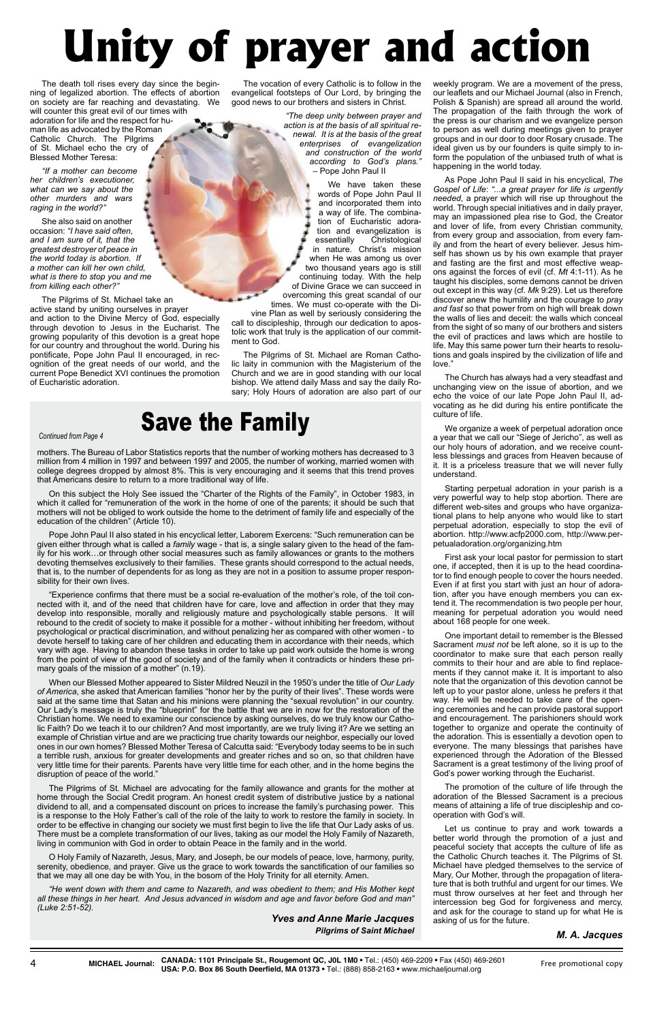**MICHAEL Journal:** Free promotional copy **CANADA: 1101 Principale St., Rougemont QC, J0L 1M0 •** Tel.: (450) 469-2209 **•** Fax (450) 469-2601 **USA: P.O. Box 86 South Deerfield, MA 01373 •** Tel.: (888) 858-2163 **•** www.michaeljournal.org

The death toll rises every day since the beginning of legalized abortion. The effects of abortion on society are far reaching and devastating. We will counter this great evil of our times with

adoration for life and the respect for human life as advocated by the Roman Catholic Church. The Pilgrims of St. Michael echo the cry of Blessed Mother Teresa:

*"If a mother can become her children's executioner, what can we say about the other murders and wars raging in the world?"*

She also said on another occasion: *"I have said often, and I am sure of it, that the greatest destroyer of peace in the world today is abortion. If a mother can kill her own child, what is there to stop you and me from killing each other?"*

The Pilgrims of St. Michael take an active stand by uniting ourselves in prayer and action to the Divine Mercy of God, especially through devotion to Jesus in the Eucharist. The growing popularity of this devotion is a great hope for our country and throughout the world. During his pontificate, Pope John Paul II encouraged, in recognition of the great needs of our world, and the current Pope Benedict XVI continues the promotion of Eucharistic adoration.

The vocation of every Catholic is to follow in the evangelical footsteps of Our Lord, by bringing the good news to our brothers and sisters in Christ.

> *"The deep unity between prayer and action is at the basis of all spiritual renewal. It is at the basis of the great enterprises of evangelization and construction of the world according to God's plans."* – Pope John Paul II

We have taken these words of Pope John Paul II and incorporated them into a way of life. The combination of Eucharistic adoration and evangelization is essentially Christological in nature. Christ's mission when He was among us over two thousand years ago is still continuing today. With the help of Divine Grace we can succeed in overcoming this great scandal of our times. We must co-operate with the Di-

vine Plan as well by seriously considering the call to discipleship, through our dedication to apostolic work that truly is the application of our commitment to God.

The Pilgrims of St. Michael are Roman Catholic laity in communion with the Magisterium of the Church and we are in good standing with our local bishop. We attend daily Mass and say the daily Rosary; Holy Hours of adoration are also part of our weekly program. We are a movement of the press, our leaflets and our Michael Journal (also in French, Polish & Spanish) are spread all around the world. The propagation of the faith through the work of the press is our charism and we evangelize person to person as well during meetings given to prayer groups and in our door to door Rosary crusade. The ideal given us by our founders is quite simply to inform the population of the unbiased truth of what is happening in the world today.

As Pope John Paul II said in his encyclical, *The Gospel of Life*: *"...a great prayer for life is urgently needed*, a prayer which will rise up throughout the world. Through special initiatives and in daily prayer, may an impassioned plea rise to God, the Creator and lover of life, from every Christian community, from every group and association, from every family and from the heart of every believer. Jesus himself has shown us by his own example that prayer and fasting are the first and most effective weapons against the forces of evil (cf. *Mt* 4:1-11). As he taught his disciples, some demons cannot be driven out except in this way (cf. *Mk* 9:29). Let us therefore discover anew the humility and the courage to *pray and fast* so that power from on high will break down the walls of lies and deceit: the walls which conceal from the sight of so many of our brothers and sisters the evil of practices and laws which are hostile to life. May this same power turn their hearts to resolutions and goals inspired by the civilization of life and love."

The Church has always had a very steadfast and unchanging view on the issue of abortion, and we echo the voice of our late Pope John Paul II, advocating as he did during his entire pontificate the culture of life.

We organize a week of perpetual adoration once a year that we call our "Siege of Jericho", as well as our holy hours of adoration, and we receive countless blessings and graces from Heaven because of it. It is a priceless treasure that we will never fully understand.

Starting perpetual adoration in your parish is a very powerful way to help stop abortion. There are different web-sites and groups who have organizational plans to help anyone who would like to start perpetual adoration, especially to stop the evil of abortion. http://www.acfp2000.com, http://www.perpetualadoration.org/organizing.htm

First ask your local pastor for permission to start one, if accepted, then it is up to the head coordinator to find enough people to cover the hours needed. Even if at first you start with just an hour of adoration, after you have enough members you can extend it. The recommendation is two people per hour, meaning for perpetual adoration you would need about 168 people for one week.

One important detail to remember is the Blessed Sacrament *must not* be left alone, so it is up to the coordinator to make sure that each person really commits to their hour and are able to find replacements if they cannot make it. It is important to also note that the organization of this devotion cannot be left up to your pastor alone, unless he prefers it that way. He will be needed to take care of the opening ceremonies and he can provide pastoral support and encouragement. The parishioners should work together to organize and operate the continuity of the adoration. This is essentially a devotion open to everyone. The many blessings that parishes have

experienced through the Adoration of the Blessed Sacrament is a great testimony of the living proof of God's power working through the Eucharist.

The promotion of the culture of life through the adoration of the Blessed Sacrament is a precious means of attaining a life of true discipleship and cooperation with God's will.

Let us continue to pray and work towards a better world through the promotion of a just and peaceful society that accepts the culture of life as the Catholic Church teaches it. The Pilgrims of St. Michael have pledged themselves to the service of Mary, Our Mother, through the propagation of literature that is both truthful and urgent for our times. We must throw ourselves at her feet and through her intercession beg God for forgiveness and mercy, and ask for the courage to stand up for what He is asking of us for the future.

# *M. A. Jacques*

mothers. The Bureau of Labor Statistics reports that the number of working mothers has decreased to 3 million from 4 million in 1997 and between 1997 and 2005, the number of working, married women with college degrees dropped by almost 8%. This is very encouraging and it seems that this trend proves that Americans desire to return to a more traditional way of life.

On this subject the Holy See issued the "Charter of the Rights of the Family", in October 1983, in which it called for "remuneration of the work in the home of one of the parents; it should be such that mothers will not be obliged to work outside the home to the detriment of family life and especially of the education of the children" (Article 10).

Pope John Paul II also stated in his encyclical letter, Laborem Exercens: "Such remuneration can be given either through what is called a *family* wage - that is, a single salary given to the head of the family for his work…or through other social measures such as family allowances or grants to the mothers devoting themselves exclusively to their families. These grants should correspond to the actual needs, that is, to the number of dependents for as long as they are not in a position to assume proper responsibility for their own lives.

"Experience confirms that there must be a social re-evaluation of the mother's role, of the toil connected with it, and of the need that children have for care, love and affection in order that they may develop into responsible, morally and religiously mature and psychologically stable persons. It will rebound to the credit of society to make it possible for a mother - without inhibiting her freedom, without psychological or practical discrimination, and without penalizing her as compared with other women - to devote herself to taking care of her children and educating them in accordance with their needs, which vary with age. Having to abandon these tasks in order to take up paid work outside the home is wrong from the point of view of the good of society and of the family when it contradicts or hinders these primary goals of the mission of a mother" (n.19).

When our Blessed Mother appeared to Sister Mildred Neuzil in the 1950's under the title of *Our Lady of America*, she asked that American families "honor her by the purity of their lives". These words were said at the same time that Satan and his minions were planning the "sexual revolution" in our country. Our Lady's message is truly the "blueprint" for the battle that we are in now for the restoration of the Christian home. We need to examine our conscience by asking ourselves, do we truly know our Catholic Faith? Do we teach it to our children? And most importantly, are we truly living it? Are we setting an example of Christian virtue and are we practicing true charity towards our neighbor, especially our loved ones in our own homes? Blessed Mother Teresa of Calcutta said: "Everybody today seems to be in such a terrible rush, anxious for greater developments and greater riches and so on, so that children have very little time for their parents. Parents have very little time for each other, and in the home begins the disruption of peace of the world."

The Pilgrims of St. Michael are advocating for the family allowance and grants for the mother at home through the Social Credit program. An honest credit system of distributive justice by a national dividend to all, and a compensated discount on prices to increase the family's purchasing power. This is a response to the Holy Father's call of the role of the laity to work to restore the family in society. In order to be effective in changing our society we must first begin to live the life that Our Lady asks of us. There must be a complete transformation of our lives, taking as our model the Holy Family of Nazareth, living in communion with God in order to obtain Peace in the family and in the world.

O Holy Family of Nazareth, Jesus, Mary, and Joseph, be our models of peace, love, harmony, purity, serenity, obedience, and prayer. Give us the grace to work towards the sanctification of our families so that we may all one day be with You, in the bosom of the Holy Trinity for all eternity. Amen.

*"He went down with them and came to Nazareth, and was obedient to them; and His Mother kept all these things in her heart. And Jesus advanced in wisdom and age and favor before God and man" (Luke 2:51-52).*

> *Yves and Anne Marie Jacques Pilgrims of Saint Michael*

# Save the Family *Continued from Page 4*

# **Unity of prayer and action**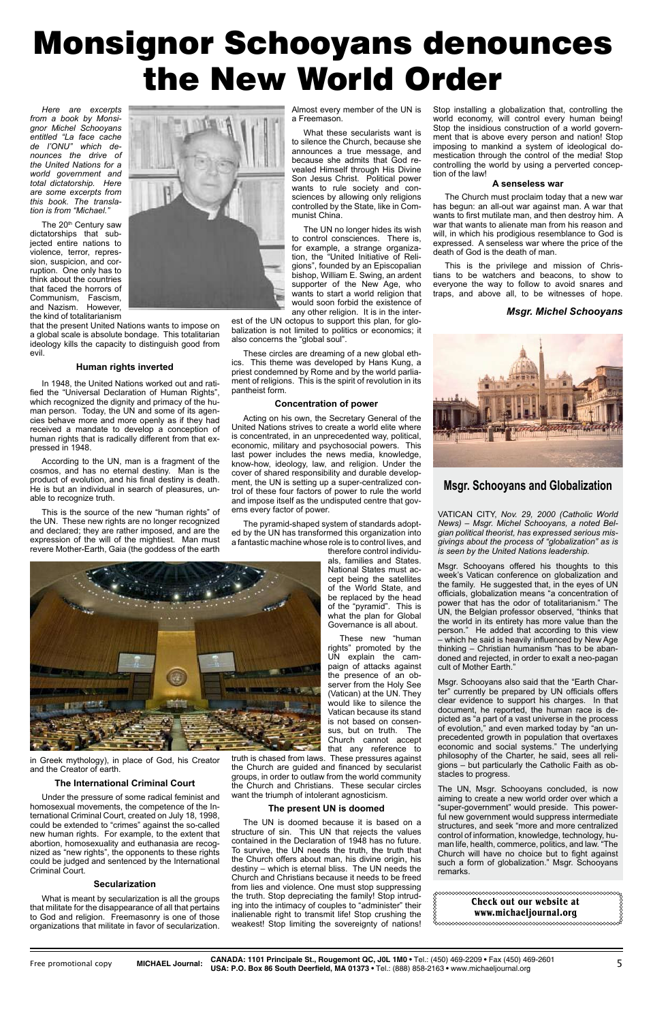**CANADA: 1101 Principale St., Rougemont QC, J0L 1M0 •** Tel.: (450) 469-2209 **•** Fax (450) 469-2601 **Free promotional copy MICHAEL Journal:** CANADA: THE PHICIPALE SL., ROUGEDIOIN GC, JOL TIMO • TEL.: (450) 469-2209 • Pax (450) 46<br>USA: P.O. Box 86 South Deerfield, MA 01373 • Tel.: (888) 858-2163 • www.michaeljournal.org

Almost every member of the UN is a Freemason.

What these secularists want is to silence the Church, because she announces a true message, and because she admits that God revealed Himself through His Divine Son Jesus Christ. Political power wants to rule society and consciences by allowing only religions controlled by the State, like in Communist China.

The UN no longer hides its wish to control consciences. There is, for example, a strange organization, the "United Initiative of Religions", founded by an Episcopalian bishop, William E. Swing, an ardent supporter of the New Age, who wants to start a world religion that would soon forbid the existence of any other religion. It is in the inter-

est of the UN octopus to support this plan, for globalization is not limited to politics or economics; it also concerns the "global soul".

These circles are dreaming of a new global ethics. This theme was developed by Hans Kung, a priest condemned by Rome and by the world parliament of religions. This is the spirit of revolution in its pantheist form.

### **Concentration of power**

Acting on his own, the Secretary General of the United Nations strives to create a world elite where is concentrated, in an unprecedented way, political, economic, military and psychosocial powers. This last power includes the news media, knowledge, know-how, ideology, law, and religion. Under the cover of shared responsibility and durable development, the UN is setting up a super-centralized control of these four factors of power to rule the world and impose itself as the undisputed centre that governs every factor of power.

The pyramid-shaped system of standards adopted by the UN has transformed this organization into a fantastic machine whose role is to control lives, and

therefore control individuals, families and States. National States must accept being the satellites of the World State, and be replaced by the head of the "pyramid". This is what the plan for Global Governance is all about.

These new "human rights" promoted by the UN explain the campaign of attacks against the presence of an observer from the Holy See (Vatican) at the UN. They would like to silence the Vatican because its stand is not based on consensus, but on truth. The Church cannot accept that any reference to truth is chased from laws. These pressures against the Church are guided and financed by secularist groups, in order to outlaw from the world community the Church and Christians. These secular circles want the triumph of intolerant agnosticism.

## **The present UN is doomed**

The UN is doomed because it is based on a structure of sin. This UN that rejects the values contained in the Declaration of 1948 has no future. To survive, the UN needs the truth, the truth that the Church offers about man, his divine origin, his destiny – which is eternal bliss. The UN needs the Church and Christians because it needs to be freed from lies and violence. One must stop suppressing the truth. Stop depreciating the family! Stop intruding into the intimacy of couples to "administer" their inalienable right to transmit life! Stop crushing the weakest! Stop limiting the sovereignty of nations!

The 20<sup>th</sup> Century saw dictatorships that subjected entire nations to violence, terror, repression, suspicion, and corruption. One only has to think about the countries that faced the horrors of Communism, Fascism, and Nazism. However, the kind of totalitarianism

Stop installing a globalization that, controlling the world economy, will control every human being! Stop the insidious construction of a world government that is above every person and nation! Stop imposing to mankind a system of ideological domestication through the control of the media! Stop controlling the world by using a perverted conception of the law!

# **A senseless war**

The Church must proclaim today that a new war has begun: an all-out war against man. A war that wants to first mutilate man, and then destroy him. A war that wants to alienate man from his reason and will, in which his prodigious resemblance to God is expressed. A senseless war where the price of the death of God is the death of man.

This is the privilege and mission of Christians to be watchers and beacons, to show to everyone the way to follow to avoid snares and traps, and above all, to be witnesses of hope.

# *Msgr. Michel Schooyans*



VATICAN CITY, *Nov. 29, 2000 (Catholic World News) – Msgr. Michel Schooyans, a noted Belgian political theorist, has expressed serious misgivings about the process of "globalization" as is is seen by the United Nations leadership.* 

Msgr. Schooyans offered his thoughts to this week's Vatican conference on globalization and the family. He suggested that, in the eyes of UN officials, globalization means "a concentration of power that has the odor of totalitarianism." The UN, the Belgian professor observed, "thinks that the world in its entirety has more value than the person." He added that according to this view – which he said is heavily influenced by New Age thinking – Christian humanism "has to be abandoned and rejected, in order to exalt a neo-pagan cult of Mother Earth."

Msgr. Schooyans also said that the "Earth Charter" currently be prepared by UN officials offers clear evidence to support his charges. In that document, he reported, the human race is depicted as "a part of a vast universe in the process of evolution," and even marked today by "an unprecedented growth in population that overtaxes economic and social systems." The underlying philosophy of the Charter, he said, sees all religions – but particularly the Catholic Faith as obstacles to progress.



The UN, Msgr. Schooyans concluded, is now aiming to create a new world order over which a "super-government" would preside. This powerful new government would suppress intermediate structures, and seek "more and more centralized control of information, knowledge, technology, human life, health, commerce, politics, and law. "The Church will have no choice but to fight against such a form of globalization." Msgr. Schooyans remarks.

# **Msgr. Schooyans and Globalization**

| Check out our website at |
|--------------------------|
| www.michaeljournal.org   |
|                          |

*Here are excerpts from a book by Monsignor Michel Schooyans entitled "La face cache de l'ONU" which denounces the drive of the United Nations for a world government and total dictatorship. Here are some excerpts from this book. The translation is from "Michael."*

that the present United Nations wants to impose on a global scale is absolute bondage. This totalitarian ideology kills the capacity to distinguish good from evil.

### **Human rights inverted**

In 1948, the United Nations worked out and ratified the "Universal Declaration of Human Rights", which recognized the dignity and primacy of the human person. Today, the UN and some of its agencies behave more and more openly as if they had received a mandate to develop a conception of human rights that is radically different from that expressed in 1948.

According to the UN, man is a fragment of the cosmos, and has no eternal destiny. Man is the product of evolution, and his final destiny is death. He is but an individual in search of pleasures, unable to recognize truth.

This is the source of the new "human rights" of the UN. These new rights are no longer recognized and declared; they are rather imposed, and are the expression of the will of the mightiest. Man must revere Mother-Earth, Gaia (the goddess of the earth



in Greek mythology), in place of God, his Creator and the Creator of earth.

# **The International Criminal Court**

Under the pressure of some radical feminist and homosexual movements, the competence of the International Criminal Court, created on July 18, 1998, could be extended to "crimes" against the so-called new human rights. For example, to the extent that abortion, homosexuality and euthanasia are recognized as "new rights", the opponents to these rights could be judged and sentenced by the International Criminal Court.

### **Secularization**

What is meant by secularization is all the groups that militate for the disappearance of all that pertains to God and religion. Freemasonry is one of those organizations that militate in favor of secularization.

# Monsignor Schooyans denounces the New World Order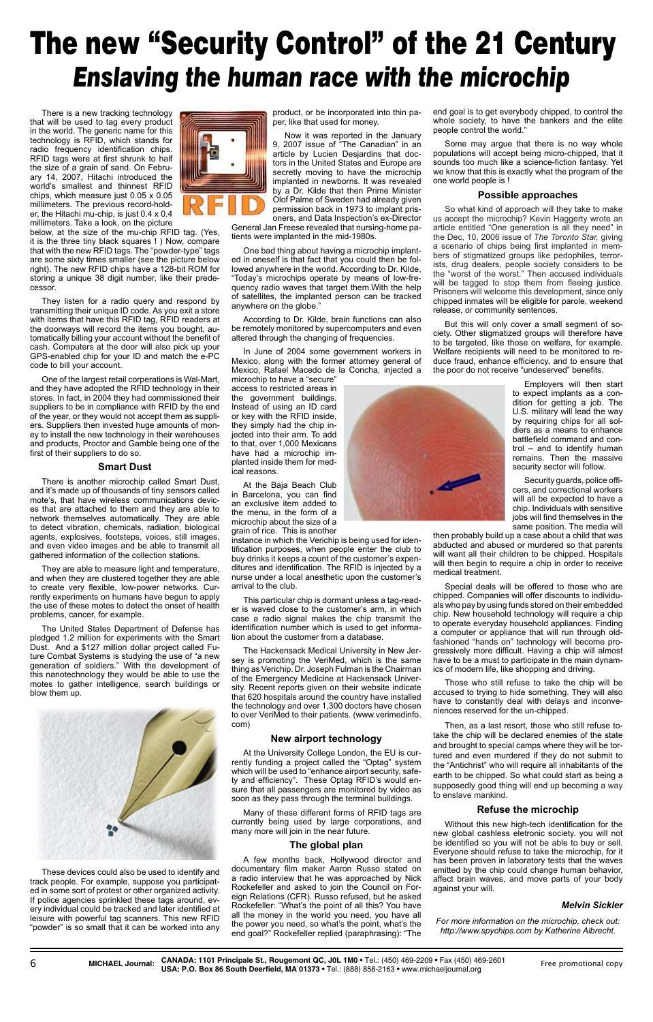|  | <b>MICHAEL Journal:</b> | <b>CANADA: 1101 Principale St., Rougemont QC, J0L 1M0 • Tel.: (450) 469-2209 • Fax (450) 469-2601</b> | Free promotional copy |
|--|-------------------------|-------------------------------------------------------------------------------------------------------|-----------------------|
|  |                         | USA: P.O. Box 86 South Deerfield. MA 01373 • Tel.: (888) 858-2163 • www.michaeliournal.org            |                       |

# The new "Security Control" of the 21 Century *Enslaving the human race with the microchip*

There is a new tracking technology that will be used to tag every product in the world. The generic name for this technology is RFID, which stands for radio frequency identification chips. RFID tags were at first shrunk to half the size of a grain of sand. On February 14, 2007, Hitachi introduced the world's smallest and thinnest RFID chips, which measure just 0.05 x 0.05 millimeters. The previous record-holder, the Hitachi mu-chip, is just 0.4 x 0.4 millimeters. Take a look, on the picture

below, at the size of the mu-chip RFID tag. (Yes, it is the three tiny black squares ! ) Now, compare that with the new RFID tags. The "powder-type" tags are some sixty times smaller (see the picture below right). The new RFID chips have a 128-bit ROM for storing a unique 38 digit number, like their predecessor.

They listen for a radio query and respond by transmitting their unique ID code. As you exit a store with items that have this RFID tag, RFID readers at the doorways will record the items you bought, automatically billing your account without the benefit of cash. Computers at the door will also pick up your GPS-enabled chip for your ID and match the e-PC code to bill your account.

One of the largest retail corperations is Wal-Mart, and they have adopted the RFID technology in their stores. In fact, in 2004 they had commissioned their suppliers to be in compliance with RFID by the end of the year, or they would not accept them as suppliers. Suppliers then invested huge amounts of money to install the new technology in their warehouses and products, Proctor and Gamble being one of the first of their suppliers to do so.

### **Smart Dust**

There is another microchip called Smart Dust, and it's made up of thousands of tiny sensors called mote's, that have wireless communications devices that are attached to them and they are able to network themselves automatically. They are able to detect vibration, chemicals, radiation, biological agents, explosives, footsteps, voices, still images, and even video images and be able to transmit all gathered information of the collection stations.

They are able to measure light and temperature, and when they are clustered together they are able to create very flexible, low-power networks. Currently experiments on humans have begun to apply the use of these motes to detect the onset of health problems, cancer, for example.

The United States Department of Defense has pledged 1.2 million for experiments with the Smart Dust. And a \$127 million dollar project called Future Combat Systems is studying the use of "a new generation of soldiers." With the development of this nanotechnology they would be able to use the motes to gather intelligence, search buildings or blow them up.



These devices could also be used to identify and track people. For example, suppose you participated in some sort of protest or other organized activity. If police agencies sprinkled these tags around, every individual could be tracked and later identified at leisure with powerful tag scanners. This new RFID "powder" is so small that it can be worked into any product, or be incorporated into thin paper, like that used for money.

Now it was reported in the January 9, 2007 issue of "The Canadian" in an article by Lucien Desjardins that doctors in the United States and Europe are secretly moving to have the microchip implanted in newborns. It was revealed by a Dr. Kilde that then Prime Minister Olof Palme of Sweden had already given permission back in 1973 to implant pris-

oners, and Data Inspection's ex-Director General Jan Freese revealed that nursing-home patients were implanted in the mid-1980s.

One bad thing about having a microchip implanted in oneself is that fact that you could then be followed anywhere in the world. According to Dr. Kilde, "Today's microchips operate by means of low-frequency radio waves that target them.With the help of satellites, the implanted person can be tracked anywhere on the globe."

According to Dr. Kilde, brain functions can also be remotely monitored by supercomputers and even altered through the changing of frequencies.

In June of 2004 some government workers in Mexico, along with the former attorney general of Mexico, Rafael Macedo de la Concha, injected a

microchip to have a "secure" access to restricted areas in the government buildings. Instead of using an ID card or key with the RFID inside, they simply had the chip injected into their arm. To add to that, over 1,000 Mexicans have had a microchip implanted inside them for medical reasons.

At the Baja Beach Club in Barcelona, you can find an exclusive item added to the menu, in the form of a microchip about the size of a grain of rice. This is another

instance in which the Verichip is being used for identification purposes, when people enter the club to buy drinks it keeps a count of the customer's expenditures and identification. The RFID is injected by a nurse under a local anesthetic upon the customer's arrival to the club.

This particular chip is dormant unless a tag-reader is waved close to the customer's arm, in which case a radio signal makes the chip transmit the identification number which is used to get information about the customer from a database.

The Hackensack Medical University in New Jersey is promoting the VeriMed, which is the same thing as Verichip. Dr. Joseph Fulman is the Chairman of the Emergency Medicine at Hackensack University. Recent reports given on their website indicate that 620 hospitals around the country have installed the technology and over 1,300 doctors have chosen to over VeriMed to their patients. (www.verimedinfo. com)

### **New airport technology**

At the University College London, the EU is currently funding a project called the "Optag" system which will be used to "enhance airport security, safety and efficiency". These Optag RFID's would ensure that all passengers are monitored by video as soon as they pass through the terminal buildings.

Many of these different forms of RFID tags are currently being used by large corporations, and many more will join in the near future.

# **The global plan**

A few months back, Hollywood director and documentary film maker Aaron Russo stated on a radio interview that he was approached by Nick Rockefeller and asked to join the Council on Foreign Relations (CFR). Russo refused, but he asked Rockefeller: "What's the point of all this? You have all the money in the world you need, you have all the power you need, so what's the point, what's the end goal?" Rockefeller replied (paraphrasing): "The end goal is to get everybody chipped, to control the whole society, to have the bankers and the elite people control the world."

Some may argue that there is no way whole populations will accept being micro-chipped, that it sounds too much like a science-fiction fantasy. Yet we know that this is exactly what the program of the one world people is !

### **Possible approaches**

So what kind of approach will they take to make us accept the microchip? Kevin Haggerty wrote an article entitled "One generation is all they need" in the Dec, 10, 2006 issue of *The Toronto Star,* giving a scenario of chips being first implanted in members of stigmatized groups like pedophiles, terrorists, drug dealers, people society considers to be the "worst of the worst." Then accused individuals will be tagged to stop them from fleeing justice. Prisoners will welcome this development, since only chipped inmates will be eligible for parole, weekend release, or community sentences.

But this will only cover a small segment of society. Other stigmatized groups will therefore have to be targeted, like those on welfare, for example. Welfare recipients will need to be monitored to reduce fraud, enhance efficiency, and to ensure that the poor do not receive "undeserved" benefits.

> Employers will then start to expect implants as a condition for getting a job. The U.S. military will lead the way by requiring chips for all soldiers as a means to enhance battlefield command and control – and to identify human remains. Then the massive security sector will follow.

> Security guards, police officers, and correctional workers will all be expected to have a chip. Individuals with sensitive jobs will find themselves in the same position. The media will

then probably build up a case about a child that was abducted and abused or murdered so that parents will want all their children to be chipped. Hospitals will then begin to require a chip in order to receive medical treatment.

Special deals will be offered to those who are chipped. Companies will offer discounts to individuals who pay by using funds stored on their embedded chip. New household technology will require a chip to operate everyday household appliances. Finding a computer or appliance that will run through oldfashioned "hands on" technology will become progressively more difficult. Having a chip will almost have to be a must to participate in the main dynamics of modern life, like shopping and driving.

Those who still refuse to take the chip will be accused to trying to hide something. They will also have to constantly deal with delays and inconveniences reserved for the un-chipped.

Then, as a last resort, those who still refuse totake the chip will be declared enemies of the state and brought to special camps where they will be tortured and even murdered if they do not submit to the "Antichrist" who will require all inhabitants of the earth to be chipped. So what could start as being a supposedly good thing will end up becoming a way to enslave mankind.





# **Refuse the microchip**

Without this new high-tech identification for the new global cashless eletronic society. you will not be identified so you will not be able to buy or sell. Everyone should refuse to take the microchip, for it has been proven in laboratory tests that the waves emitted by the chip could change human behavior, affect brain waves, and move parts of your body against your will.

# *Melvin Sickler*

*For more information on the microchip, check out: http://www.spychips.com by Katherine Albrecht.*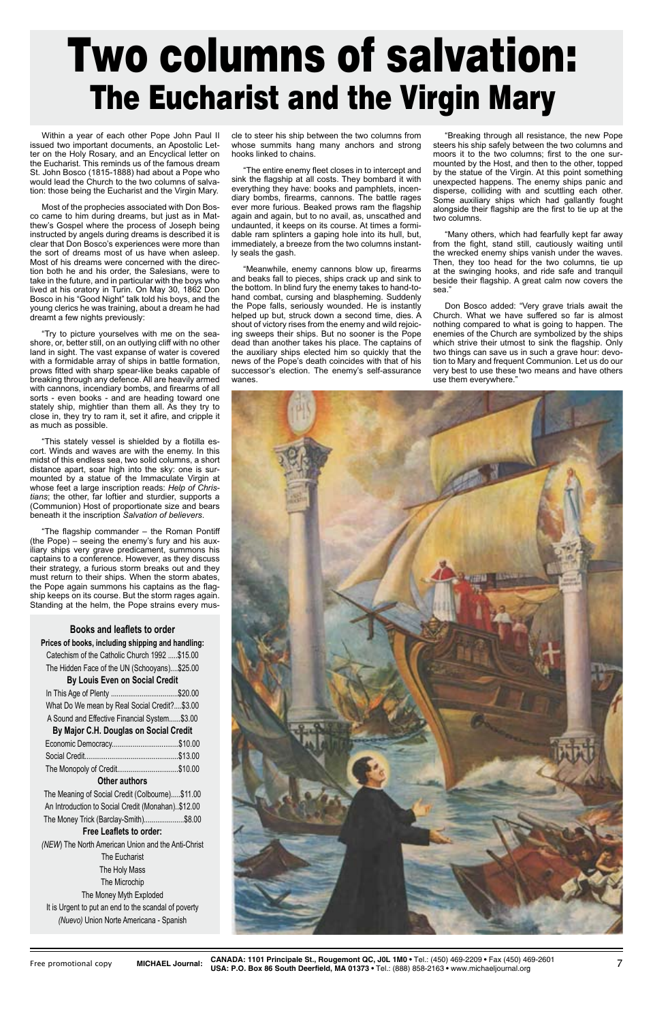**CANADA: 1101 Principale St., Rougemont QC, J0L 1M0 •** Tel.: (450) 469-2209 **•** Fax (450) 469-2601 Free promotional copy **MICHAEL Journal:** CANADA: TIOT Principale St., Rougemont GC, JUL TIMO • Tel.: (450) 469-2209 • Pax (450) 46<br>USA: P.O. Box 86 South Deerfield, MA 01373 • Tel.: (888) 858-2163 • www.michaeljournal.org

Within a year of each other Pope John Paul II issued two important documents, an Apostolic Letter on the Holy Rosary, and an Encyclical letter on the Eucharist. This reminds us of the famous dream St. John Bosco (1815-1888) had about a Pope who would lead the Church to the two columns of salvation: those being the Eucharist and the Virgin Mary.

Most of the prophecies associated with Don Bosco came to him during dreams, but just as in Matthew's Gospel where the process of Joseph being instructed by angels during dreams is described it is clear that Don Bosco's experiences were more than the sort of dreams most of us have when asleep. Most of his dreams were concerned with the direction both he and his order, the Salesians, were to take in the future, and in particular with the boys who lived at his oratory in Turin. On May 30, 1862 Don Bosco in his "Good Night" talk told his boys, and the young clerics he was training, about a dream he had dreamt a few nights previously:

"Try to picture yourselves with me on the seashore, or, better still, on an outlying cliff with no other land in sight. The vast expanse of water is covered with a formidable array of ships in battle formation, prows fitted with sharp spear-like beaks capable of breaking through any defence. All are heavily armed with cannons, incendiary bombs, and firearms of all sorts - even books - and are heading toward one stately ship, mightier than them all. As they try to close in, they try to ram it, set it afire, and cripple it as much as possible.

"This stately vessel is shielded by a flotilla escort. Winds and waves are with the enemy. In this midst of this endless sea, two solid columns, a short distance apart, soar high into the sky: one is surmounted by a statue of the Immaculate Virgin at whose feet a large inscription reads: *Help of Christians*; the other, far loftier and sturdier, supports a (Communion) Host of proportionate size and bears beneath it the inscription *Salvation of believers*.

"The flagship commander – the Roman Pontiff (the Pope) – seeing the enemy's fury and his auxiliary ships very grave predicament, summons his captains to a conference. However, as they discuss their strategy, a furious storm breaks out and they must return to their ships. When the storm abates, the Pope again summons his captains as the flagship keeps on its course. But the storm rages again. Standing at the helm, the Pope strains every muscle to steer his ship between the two columns from whose summits hang many anchors and strong hooks linked to chains.

"The entire enemy fleet closes in to intercept and sink the flagship at all costs. They bombard it with everything they have: books and pamphlets, incendiary bombs, firearms, cannons. The battle rages ever more furious. Beaked prows ram the flagship again and again, but to no avail, as, unscathed and undaunted, it keeps on its course. At times a formidable ram splinters a gaping hole into its hull, but, immediately, a breeze from the two columns instantly seals the gash.

"Meanwhile, enemy cannons blow up, firearms and beaks fall to pieces, ships crack up and sink to the bottom. In blind fury the enemy takes to hand-tohand combat, cursing and blaspheming. Suddenly the Pope falls, seriously wounded. He is instantly helped up but, struck down a second time, dies. A shout of victory rises from the enemy and wild rejoicing sweeps their ships. But no sooner is the Pope dead than another takes his place. The captains of the auxiliary ships elected him so quickly that the news of the Pope's death coincides with that of his successor's election. The enemy's self-assurance wanes.

"Breaking through all resistance, the new Pope steers his ship safely between the two columns and moors it to the two columns; first to the one surmounted by the Host, and then to the other, topped by the statue of the Virgin. At this point something unexpected happens. The enemy ships panic and disperse, colliding with and scuttling each other. Some auxiliary ships which had gallantly fought alongside their flagship are the first to tie up at the two columns.

"Many others, which had fearfully kept far away from the fight, stand still, cautiously waiting until the wrecked enemy ships vanish under the waves. Then, they too head for the two columns, tie up at the swinging hooks, and ride safe and tranquil beside their flagship. A great calm now covers the sea."

Don Bosco added: "Very grave trials await the Church. What we have suffered so far is almost nothing compared to what is going to happen. The enemies of the Church are symbolized by the ships which strive their utmost to sink the flagship. Only two things can save us in such a grave hour: devotion to Mary and frequent Communion. Let us do our very best to use these two means and have others use them everywhere."



# Two columns of salvation: The Eucharist and the Virgin Mary

# **Books and leaflets to order**

| Prices of books, including shipping and handling: |  |  |  |  |
|---------------------------------------------------|--|--|--|--|
| Catechism of the Catholic Church 1992  \$15.00    |  |  |  |  |
| The Hidden Face of the UN (Schooyans)\$25.00      |  |  |  |  |
| By Louis Even on Social Credit                    |  |  |  |  |
|                                                   |  |  |  |  |
| What Do We mean by Real Social Credit?\$3.00      |  |  |  |  |
| A Sound and Effective Financial System\$3.00      |  |  |  |  |
| By Major C.H. Douglas on Social Credit            |  |  |  |  |
|                                                   |  |  |  |  |

Social Credit.................................................\$13.00 The Monopoly of Credit................................\$10.00 **Other authors** The Meaning of Social Credit (Colbourne).....\$11.00 An Introduction to Social Credit (Monahan)..\$12.00 The Money Trick (Barclay-Smith).....................\$8.00 **Free Leaflets to order:** *(NEW*) The North American Union and the Anti-Christ The Eucharist The Holy Mass The Microchip The Money Myth Exploded It is Urgent to put an end to the scandal of poverty *(Nuevo)* Union Norte Americana - Spanish